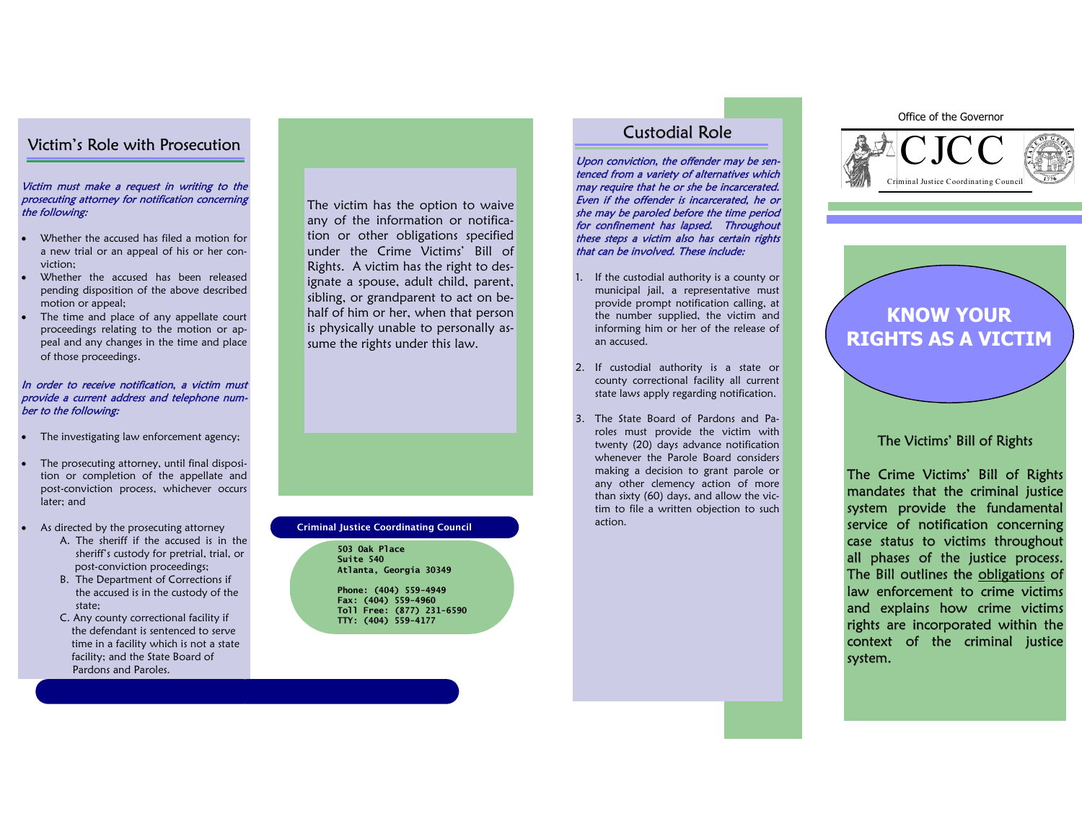## Victim's Role with Prosecution

#### Victim must make a request in writing to the prosecuting attorney for notification concerningthe following:

- Whether the accused has filed a motion for a new trial or an appeal of his or her conviction;
- Whether the accused has been released pending disposition of the above described motion or appeal;
- The time and place of any appellate court proceedings relating to the motion or appeal and any changes in the time and place of those proceedings.

#### In order to receive notification, a victim must provide a current address and telephone number to the following:

- The investigating law enforcement agency;
- The prosecuting attorney, until final disposition or completion of the appellate and post-conviction process, whichever occurs later; and
- As directed by the prosecuting attorney
- A. The sheriff if the accused is in the sheriff's custody for pretrial, trial, or post-conviction proceedings;
- **B.** The Department of Corrections if the accused is in the custody of the state;
- C. Any county correctional facility if the defendant is sentenced to serve time in a facility which is not a state facility; and the State Board of Pardons and Paroles.

The victim has the option to waive any of the information or notification or other obligations specified under the Crime Victims' Bill of Rights. A victim has the right to designate a spouse, adult child, parent, sibling, or grandparent to act on behalf of him or her, when that person is physically unable to personally assume the rights under this law.

### **Criminal Justice Coordinating Council Community Contains Container Contains Contains Contains Contains Contain**

**503 Oak Place Suite 540 Atlanta, Georgia 30349** 

**Phone: (404) 559-4949 Fax: (404) 559-4960 Toll Free: (877) 231-6590 TTY: (404) 559-4177** 

### Custodial Role

Upon conviction, the offender may be sentenced from a variety of alternatives which may require that he or she be incarcerated. Even if the offender is incarcerated, he or she may be paroled before the time period for confinement has lapsed. Throughout these steps a victim also has certain rightsthat can be involved. These include:

- 1. If the custodial authority is a county or municipal jail, a representative must provide prompt notification calling, at the number supplied, the victim and informing him or her of the release of an accused.
- 2. If custodial authority is a state or county correctional facility all current state laws apply regarding notification.
- 3. The State Board of Pardons and Paroles must provide the victim with twenty (20) days advance notification whenever the Parole Board considers making a decision to grant parole or any other clemency action of more than sixty (60) days, and allow the victim to file a written objection to such

#### Office of the Governor



# **KNOW YOUR RIGHTS AS A VICTIM**

### The Victims' Bill of Rights

The Crime Victims' Bill of Rights mandates that the criminal justice system provide the fundamental service of notification concerning case status to victims throughout all phases of the justice process.The Bill outlines the obligations of law enforcement to crime victims and explains how crime victims rights are incorporated within the context of the criminal justicesystem.